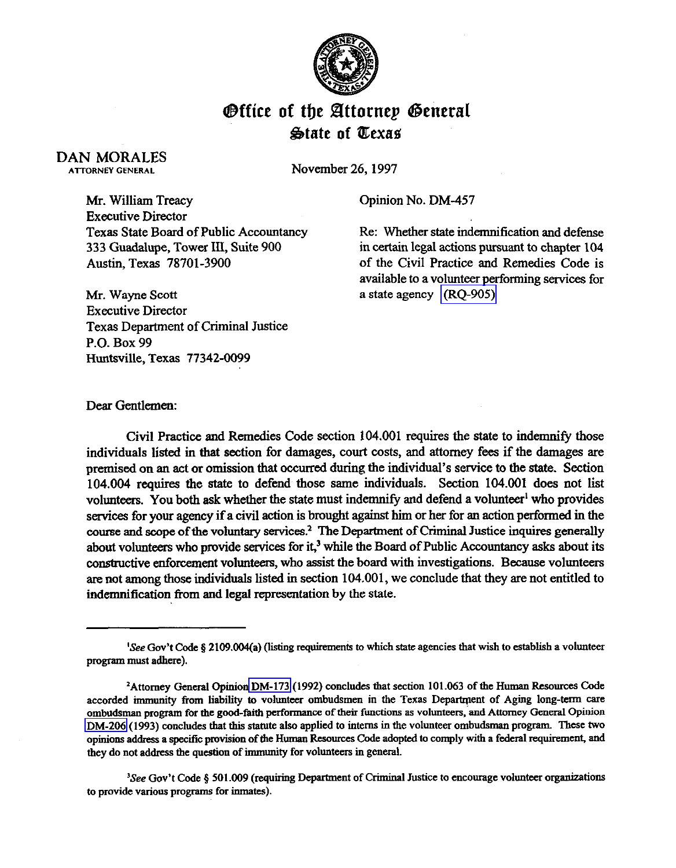

## **Office of the Attornep General State of Texas**

## DAN MORALES ATTORNEY CENERAL

November 26, 1997

Mr. William Treacy Executive Director Texas State Board of Public Accountancy 333 Guadalupe, Tower III, Suite 900 Austin, Texas 78701-3900

Opinion No. DM-457

Re: Whether state indemnification and defense in certain legal actions pursuant to chapter 104 of the Civil Practice and Remedies Code is available to a volunteer performing services for a state agency [\(RQ-905\)](http://intranet1.oag.state.tx.us/opinions/requests/rq0905.pdf) 

Mr. Wayne Scott Executive Director Texas Department of Criminal Justice P.O. Box 99 Huntsville, Texas 77342-0099

Dear Gentlemen:

Civil Practice and Remedies Code section 104.001 requires the state to indemnify those individuals listed in that section for damages, court costs, and attorney fees if the damages are premised on an act or omission that occurred during the individual's service to the state. Section 104.004 requires the state to defend those same individuals. Section 104.001 does not list volunteers. You both ask whether the state must indemnify and defend a volunteer<sup>1</sup> who provides services for your agency if a civil action is brought against him or her for an action performed in the course and scope of the voluntary services? The Department of criminal Justice inquires generally about volunteers who provide services for it,<sup>3</sup> while the Board of Public Accountancy asks about its constructive enforcement volunteers, who assist the board with investigations. Because vohmteers are not among those individuals listed in section 104.001, we conclude that they are not entitled to indemnification from and legal representation by the state.

<sup>3</sup>See Gov't Code § 501.009 (requiring Department of Criminal Justice to encourage volunteer organizations **to provide various programs for inmates).** 

**<sup>&#</sup>x27;See Gov't Code 8 2109.004(a) (listing requirements to which state agencies that wish to establish a volunteer** program must adhere).

**<sup>&#</sup>x27;Attorney General Opinio[n DM-173](http://intranet1.oag.state.tx.us/opinions/dm/dm173.pdf) (1992) concludes that section 101.063 of the Human Resources Code**  accorded immunity from liability to volunteer ombudsmen in the Texas Department of Aging long-term care ombudsman program for the good-faith performance of their functions as volunteers, and Attorney General Opinion **[DM-206](http://intranet1.oag.state.tx.us/opinions/dm/dm206.pdf)** (1993) concludes that this statute also applied to interns in the volunteer ombudsman program. These two opinions address a specific provision of the Human Resources Code adopted to comply with a federal requirement, and **they do not address tbe question of immunity for volunteers in general.**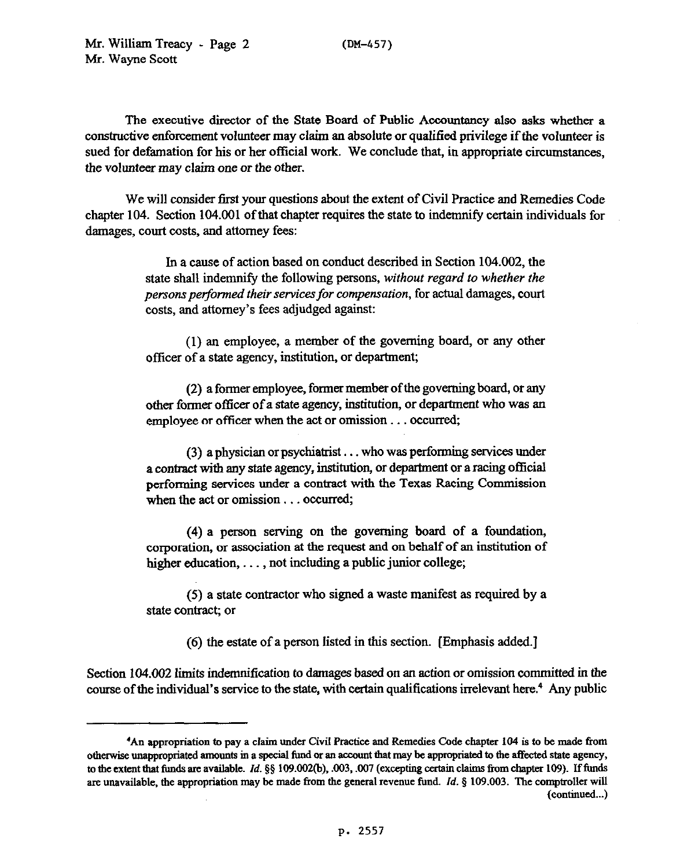The executive director of the State Board of Public Accountancy also asks whether a constructive enforcement volunteer may claim an absolute or qualified privilege if the volunteer is sued for defamation for his or her official work. We conclude that, in appropriate circumstances, the *volunteer may* claim one *or the other.* 

We will consider first your questions about the extent of Civil Practice and Remedies Code chapter 104. Section 104.001 of that chapter requires the state to indemnify certain individuals for damages, court costs, and attorney fees:

> In a cause of action based on conduct described in Section 104.002, the state shall indemnify the following persons, *without regard to whether the persons perfoned their services for compensation,* for actual damages, court costs, and attorney's fees adjudged against:

> (1) an employee, a member of the goveming board, or any other officer of a state agency, institution, or department;

> (2) a former employee, former member of the governing board, or any other former officer of a state agency, institution, or department who was an employee or officer when the act or omission... occurred;

> (3) a physician or psychiatrist . . . who was performing services under a contract with any state agency, institution, or department or a racing official performing services under a contract with the Texas Racing Commission when the act or omission... occurred;

> *(4)* a person serving on the governing board of a foundation, corporation, or association at the request and on behalf of an institution of higher education, ..., not including a public junior college;

> (5) a state contractor who signed a waste manifest as required by a state contract; or

> > (6) the estate of a person listed in this section. [Emphasis added.]

Section 104.002 limits indemnification to damages based on sn action or omission committed in the course of the individual's service to the state, with certain qualifications irrelevant here.<sup>4</sup> Any public

**<sup>&#</sup>x27;An appropriation to pay a claim under Civil Practice and Remedies Code chapter 104 is to be made from** otherwise unappropriated amounts in a special fund or an account that may be appropriated to the affected state agency, to the extent that funds are available. *Id.* §§ 109.002(b), .003, .007 (excepting certain claims from chapter 109). If funds **are unavailable, the appropriation may be made from the general revenue fund.** *Id. \$109.003. The* **comptroller will (continued...)**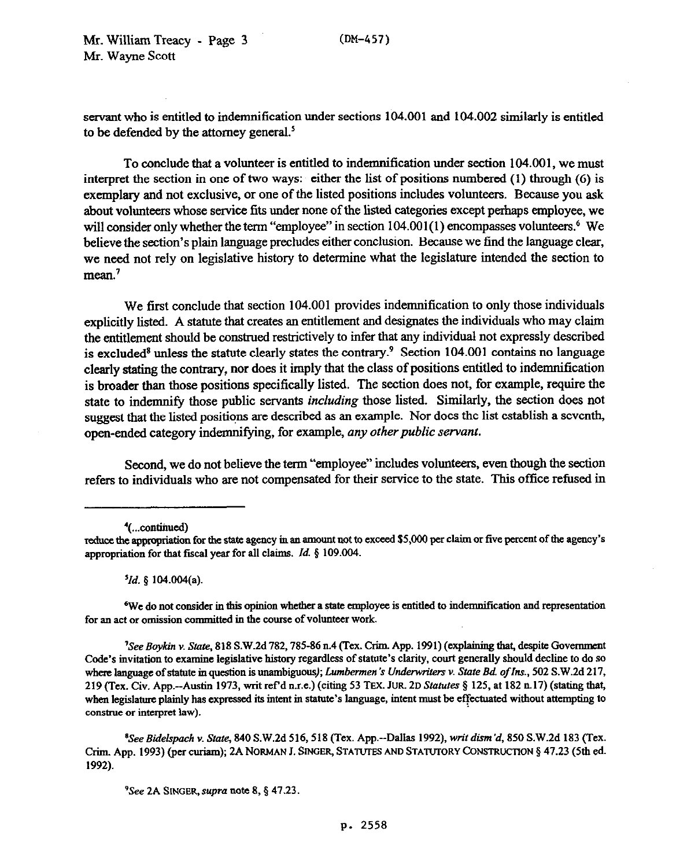servant who is entitled to indemnification under sections 104.001 and 104.002 similarly is entitled to be defended by the **attorney** general?

To conclude that a volunteer is entitled to indemnification under section 104.001, we must interpret the section in one of two ways: either the list of positions numbered (1) through (6) is exemplary and not exclusive, or one of the listed positions includes volunteers. Because you ask about vohmteers whose service fits under none of the listed categories except perhaps employee, we will consider only whether the term "employee" in section  $104.001(1)$  encompasses volunteers. We believe the section's plain language precludes either conclusion. Because we find the language clear, we need not rely on legislative history to determine what the legislature intended the section to mean.<sup>7</sup>

We first conclude that section 104.001 provides indemnification to only those individuals explicitly listed. A statute that creates an entitlement and designates the individuals who may claim the entitlement should be construed restrictively to infer that any individual not expressly described is excluded<sup>8</sup> unless the statute clearly states the contrary.<sup>9</sup> Section 104.001 contains no language clearly stating the contrary, nor does it imply that the class of positions entitled to indemnification is broader than those positions specifically listed. The section does not, for example, require the state to indemnity those public servants *including* those listed. Similarly, the section does not suggest that the listed positions are described as an example. Nor does the list establish a seventh, open-ended category indemnifying, for example, *any other public servant*.

Second, we do not believe the term "employee" includes volunteers, even though the section refers to individuals who are not compensated for their service to the state. This office refused in

*'Id. 5 104.004(a).* 

**6We do not consider in this opinion whether s state employee is entitled to indemnification and representstion**  for an act or omission committed in the course of volunteer work.

<sup>7</sup>See Boykin v. State, 818 S.W.2d 782, 785-86 n.4 (Tex. Crim. App. 1991) (explaining that, despite Government Code's invitation to examine legislative history regardless of statute's clarity, court generally should decline to do so where language of statute in question is unambiguous); *Lumbermen's Underwriters v. State Bd. of Ins.*, 502 S.W.2d 217, 219 (Tex. Civ. App.--Austin 1973, writ ref'd n.r.e.) (citing 53 TEX. JUR. 2D Statutes § 125, at 182 n.17) (stating that, when legislature plainly has expressed its intent in statute's language, intent must be effectuated without attempting to construe or interpret law).

*'See Bidelspach v. State, 840* **S.W.2d 516,518 (Tex. App.-Dallas 1992). writ** *dism'd, 850* **S.W.Zd 183 (Tex.**  Crim. App. 1993) (per curiam); 2A NORMAN J. SINGER, STATUTES AND STATUTORY CONSTRUCTION § 47.23 (5th ed. **1992).** 

<sup>9</sup>See 2A SINGER, supra note 8, § 47.23.

<sup>&#</sup>x27;(...continued)

reduce the appropriation for the state agency in an amount not to exceed \$5,000 per claim or five percent of the agency's appropriation for that fiscal year for all claims. *Id.* § 109.004.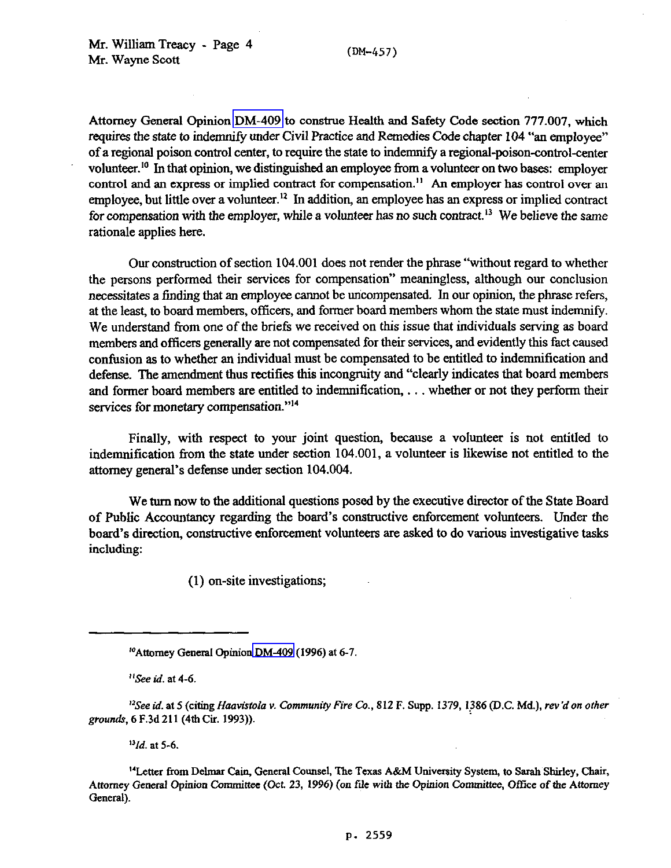Attorney General Opinion [DM-409](http://intranet1.oag.state.tx.us/opinions/dm/dm409.pdf) to construe Health and Safety Code section 777.007, which requires the state to indemnify under Civil Practice and Remedies Code chapter 104 "an employee" of a regional poison control center, to require the state to indemnity a regional-poison-control-center volunteer.<sup>10</sup> In that opinion, we distinguished an employee from a volunteer on two bases: employer control and an express or implied contract for compensation.<sup>11</sup> An employer has control over an employee, but little over a volunteer.<sup>12</sup> In addition, an employee has an express or implied contract for compensation with the employer, while a volunteer has no such contract.<sup>13</sup> We believe the same rationale applies here.

Our construction of section 104.001 does not render the phrase "without regard to whether the persons performed their services for compensation" meaningless, although our conclusion necessitates a finding that an employee cannot be uncompensated. In our opinion, the phrase refers, at the least, to board members, officers, and former board members whom the state must indemnify. We understand from one of the briefs we received on this issue that individuals serving as board members and officers generally are not compensated for their services, and evidently this fact caused confusion as to whether an individual must be compensated to be entitled to indemnification and defense. The amendment thus rectifies this incongruity and "clearly indicates that board members and former board members sre entitled to indemnification, . . . whether or not they perform their services for monetary compensation."<sup>14</sup>

Finally, with respect to your joint question, because a volunteer is not entitled to indemnification from the state under section 104.001, a volunteer is likewise not entitled to the attorney general's defense under section 104.004.

We turn now to the additional questions posed by the executive director of the State Board of Public Accountancy regarding the board's constructive enforcement vohmteers. Under the board's direction, wnstructive enforcement volunteers are asked to do various investigative tasks including:

(1) on-site investigations;

*"See id.* **at** *4-6.* 

*"Id.* **at** *5-6.* 

<sup>14</sup> Letter from Delmar Cain, General Counsel, The Texas A&M University System, to Sarah Shirley, Chair, Attorney General Opinion Committee (Oct. 23, 1996) (on file with the Opinion Committee, Office of the Attorney **General).** 

**<sup>&</sup>quot;'Attorney General Opinio[n DM-409](http://intranet1.oag.state.tx.us/opinions/dm/dm409.pdf) (1996) at 6-7.** 

<sup>&</sup>lt;sup>12</sup>See id. at 5 (citing *Haavistola v. Community Fire Co.*, 812 F. Supp. 1379, 1386 (D.C. Md.), *rev'd on other* grounds, 6 F.3d 211 (4th Cir. 1993)).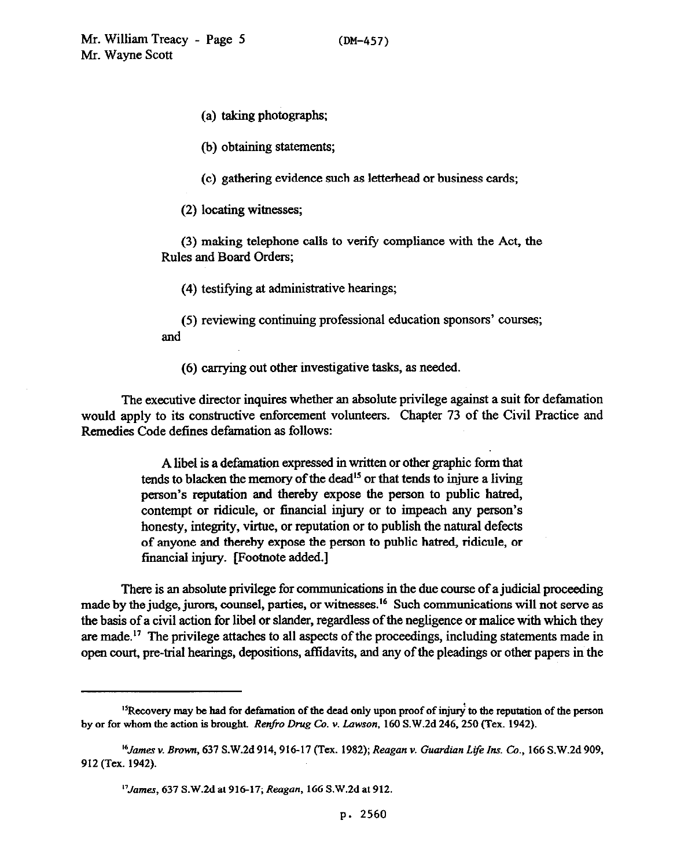(a) taking photographs,

(b) obtaining statements;

(c) gathering evidence such as letterhead or business cards;

(2) locating witnesses;

(3) making telephone calls to verify compliance with the Act, the Rules and Board Orders;

(4) testifying at administrative hearings;

(5) reviewing continuing professional education sponsors' courses; and

(6) carrying out other investigative tasks, as needed.

The executive director inquires whether an absolute privilege against a suit for defamation would apply to its constructive enforcement volunteers. Chapter 73 of the Civil Practice and Remedies Code defines defamation as follows:

> A libel is a defamation expressed in written or other graphic form that tends to blacken the memory of the dead<sup>15</sup> or that tends to injure a living person's reputation and thereby expose the person to public hatred, contempt or ridicule, or financial injury or to impeach any person's honesty, integrity, virtue, or reputation or to publish the natural defects of anyone and thereby expose the person to public hatred, ridicule, or financial injury. [Footnote added.]

There is an absolute privilege for communications in the due course of a judicial proceeding made by the judge, jurors, counsel, parties, or witnesses.<sup>16</sup> Such communications will not serve as the basis of a civil action for libel or slander, regardless of the negligence or malice with which they are made.<sup>17</sup> The privilege attaches to all aspects of the proceedings, including statements made in open court, pre-trial hearings, depositions, affidavits, and any of the pleadings or other papers in the

<sup>&</sup>lt;sup>15</sup> Recovery may be had for defamation of the dead only upon proof of injury to the reputation of the person **by or for whom the action is brought.** *Renfio Drug Co. v. Lawson, 160* **S.W.Zd 246,250 (Tex. 1942).** 

*<sup>&#</sup>x27;4/ames v. Brown, 631* **S.W.Zd 914,916-17** *(Tex. 1982); Reagan v. Guardian Life Ins. Co.,* **166 S.W.Zd 909, 912 (Tex. 1942).** 

*<sup>&</sup>quot;Jamq 631* **S.W.Zd at 916-17;** *Reagan,* **166 S.W.Zd at 912.**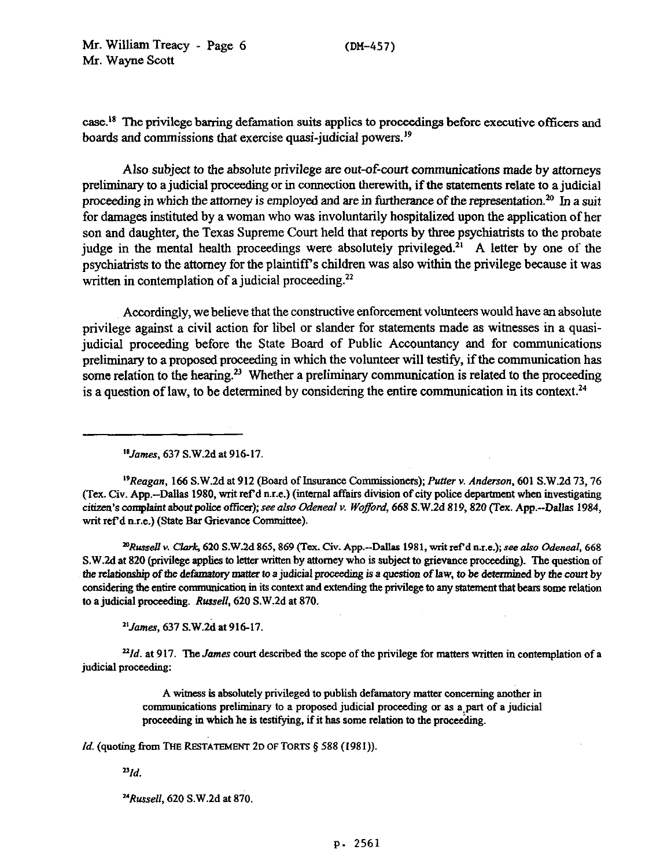case.<sup>18</sup> The privilege barring defamation suits applies to proceedings before executive officers and boards and commissions that exercise quasi-judicial powers.<sup>19</sup>

Also subject to the absolute privilege are out-of-court communications made by attorneys preliminary to a judicial pmceeding or in connection therewith, if the statements relate to a judicial proceeding in which the attorney is employed and are in furtherance of the representation.<sup>20</sup> In a suit for damages instituted by a woman who was involuntarily hospitalized upon the application of her son and daughter, the Texas Supreme Court held that reports by three psychiatrists to the probate judge in the mental health proceedings were absolutely privileged.<sup>21</sup> A letter by one of the psychiatrists to the attorney for the plaintiffs children was also within the privilege because it was written in contemplation of a judicial proceeding.<sup>22</sup>

Accordingly, we believe that the constructive enforcement volunteers would have an absolute privilege against a civil action for libel or slander for statements made as witnesses in a quasijudicial proceeding before the State Board of Public Accountancy and for communications preliminary to a proposed proceeding in which the volunteer will testify, if the communication has some relation to the hearing.<sup>23</sup> Whether a preliminary communication is related to the proceeding is a question of law, to be determined by considering the entire communication in its context.<sup>24</sup>

*'sJames, 637* **S.W.2d at 916-17.** 

*'9Reagan,* **166 S.W.Zd at 912 (Board of Insurance** Commissioners); Putter v. *Anderson,* **601 S.W.Zd 73.76 (Tex. Civ. App.-Dallas 1980, writ nf d n.r.e.) (internal affairs** division of city police deparhnent when investigating **citizen's complaint** *about* **police officer); see also Odeneal v.** *Woffoni,* **668 S.W.Zd 819,820 (Tex. App.-Dallas 1984,**  writ ref'd n.r.e.) (State Bar Grievance Committee).

*~Rtmell* **v. Clark, 620 S.W.M 865,869 (Tex. Civ. App.-Dallas 1981, wit refd me.); see also** *Odeneal, 668*  **S.W.2d at 820** (privilege applies to letter written by attorney who is subject to grievance proceeding). The question of the relationship of the defamatory matter to a judicial proceeding is a question of law, to be determined by the court by considering the entire communication in its context and extending the privilege to any statement that bears some relation to a judicial pmceediag. *Russell, 620* **S.W.Zd at 870.** 

<sup>21</sup> James, 637 S.W.2d at 916-17.

*221d.* at **917.** The *James* court described the scope of the privilege for matters written in contemplation of a judicial proceeding:

> A witness is absolutely privileged to publish defamatory matter concerning another in **communications** preliminary to a proposed judicial proceeding or as a:part of a judicial proceeding in which he is testifying, if it has some relation to the proceeding.

*Id.* (quoting from THE RESTATEMENT 2D OF TORTS § 588 (1981)).

 $^{23}$ *Id.* 

*uRwsell, 620* **S.W.2d at 870.**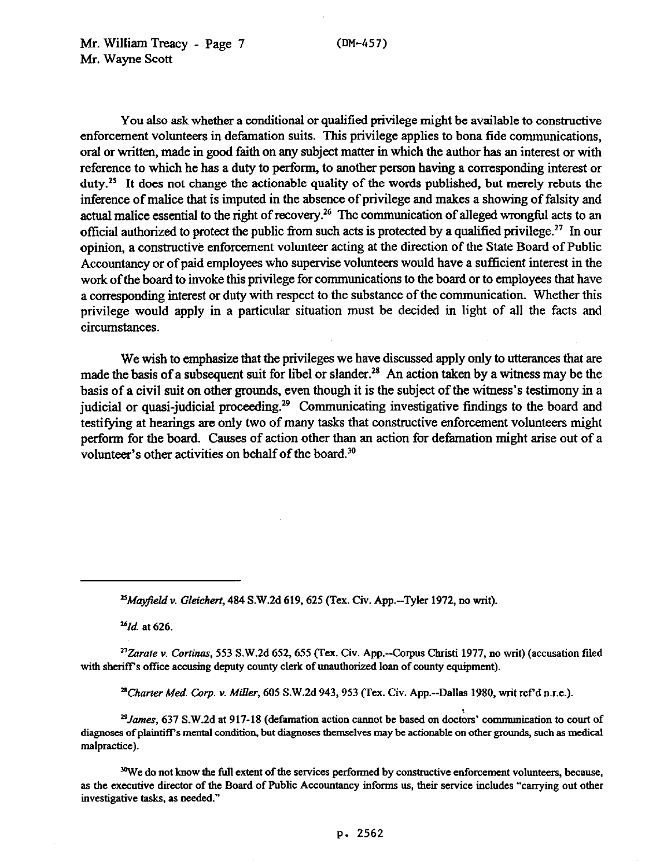**(DM-457)** 

You also ask whether a conditional or qualified privilege might be available to constructive enforcement volunteers in defamation suits. This privilege applies to bona fide communications, oral or written, made in good faith on any subject matter in which the author has an interest or with reference to which he has a duty to perform, to another person having a corresponding interest or  $d$ uty.<sup>25</sup> It does not change the actionable quality of the words published, but merely rebuts the inference of malice that is imputed in the absence of privilege and makes a showing of falsity and actual malice essential to the right of recovery.<sup>26</sup> The communication of alleged wrongful acts to an official authorized to protect the public from such acts is protected by a qualified privilege.<sup>27</sup> In our opinion, a constructive enforcement volunteer acting at the direction of the State Board of Public **Accountancy or** of paid employees who supervise volunteers would have a sufficient interest in the work of the board to invoke this privilege for communications to the board or to employees that have a corresponding interest or duty with respect to the substance of the communication. Whether this privilege would apply in a particular situation must be decided in light of all the facts and circumstances.

We wish to emphasize that the privileges we have discussed apply only to utterances that are made the basis of a subsequent suit for libel or slander.<sup>28</sup> An action taken by a witness may be the basis of a civil suit on other grounds, even though it is the subject of the witness's testimony in a judicial or quasi-judicial proceeding.<sup>29</sup> Communicating investigative findings to the board and testifying at hearings are only two of many tasks that constructive enforcement volunteers might perform for the board. Causes of action other than an action for defamation might arise out of a volunteer's other activities on behalf of the board.<sup>30</sup>

*'6rd. at 626,* 

<sup>27</sup>Zarate v. Cortinas, 553 S.W.2d 652, 655 (Tex. Civ. App.--Corpus Christi 1977, no writ) (accusation filed with sheriff's office accusing deputy county clerk of unauthorized loan of county equipment).

*"Charter* **Med. Corp. v.** *Miller,* **605 S.W.Zd 943,953 (Tex. Civ. App.--Dallas 1980, wit ref d n.r.e.).** 

<sup>29</sup> James, 637 S.W.2d at 917-18 (defamation action cannot be based on doctors' communication to court of **diagmses of plaintiffs mental condition, but diagnoses themselves may be actionable on other grounds, such as medical malpractice).** 

<sup>30</sup>We do not know the full extent of the services performed by constructive enforcement volunteers, because, as the executive director of the Board of Public Accountancy informs us, their service includes "carrying out other **investigative tasks, as needed."** 

*<sup>%</sup>ay@ld* **v.** *Gleichert,* **484 S.W.Zd 619,625 (Tex. Civ. App.-Tyler 1972, no wit).**